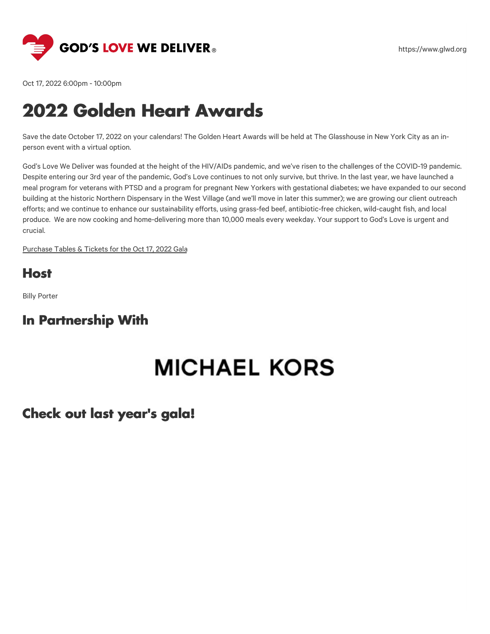

Oct 17, 2022 6:00pm - 10:00pm

## **2022 Golden Heart Awards**

Save the date October 17, 2022 on your calendars! The Golden Heart Awards will be held at The Glasshouse in New York City as an inperson event with a virtual option.

God's Love We Deliver was founded at the height of the HIV/AIDs pandemic, and we've risen to the challenges of the COVID-19 pandemic. Despite entering our 3rd year of the pandemic, God's Love continues to not only survive, but thrive. In the last year, we have launched a meal program for veterans with PTSD and a program for pregnant New Yorkers with gestational diabetes; we have expanded to our second building at the historic Northern Dispensary in the West Village (and we'll move in later this summer); we are growing our client outreach efforts; and we continue to enhance our sustainability efforts, using grass-fed beef, antibiotic-free chicken, wild-caught fish, and local produce. We are now cooking and home-delivering more than 10,000 meals every weekday. Your support to God's Love is urgent and crucial.

[Purchase](https://give.glwd.org/event/golden-heart-awards-2022/e385260/register/new/select-tickets) Tables & Tickets for the Oct 17, 2022 Gala

#### **Host**

Billy Porter

#### **In Partnership With**

# **MICHAEL KORS**

#### **Check out last year's gala!**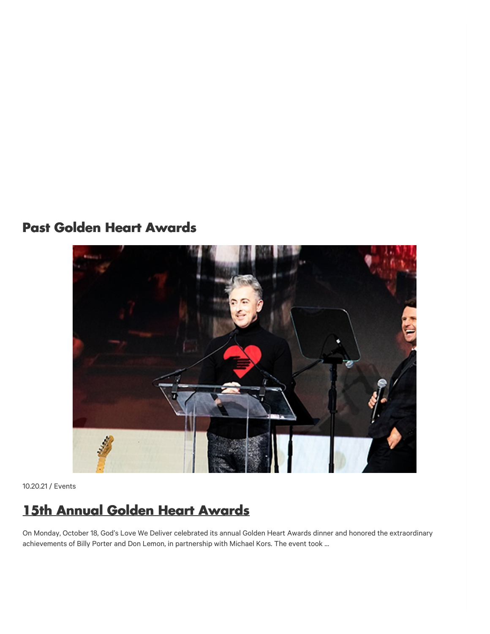### **Past Golden Heart Awards**



10.20.21 / Events

## **15th Annual Golden Heart [Awards](https://www.glwd.org/blog/15th-annual-golden-heart-awards/)**

On Monday, October 18, God's Love We Deliver celebrated its annual Golden Heart Awards dinner and honored the extraordinary achievements of Billy Porter and Don Lemon, in partnership with Michael Kors. The event took …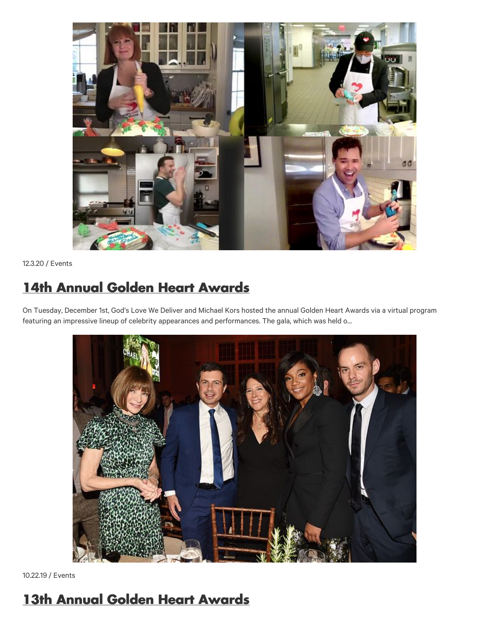

12.3.20 / Events

## **14th Annual Golden Heart [Awards](https://www.glwd.org/blog/14th-annual-golden-heart-awards/)**

On Tuesday, December 1st, God's Love We Deliver and Michael Kors hosted the annual Golden Heart Awards via a virtual program featuring an impressive lineup of celebrity appearances and performances. The gala, which was held o…



10.22.19 / Events

## **13th Annual Golden Heart [Awards](https://www.glwd.org/blog/13th-annual-golden-heart-awards/)**